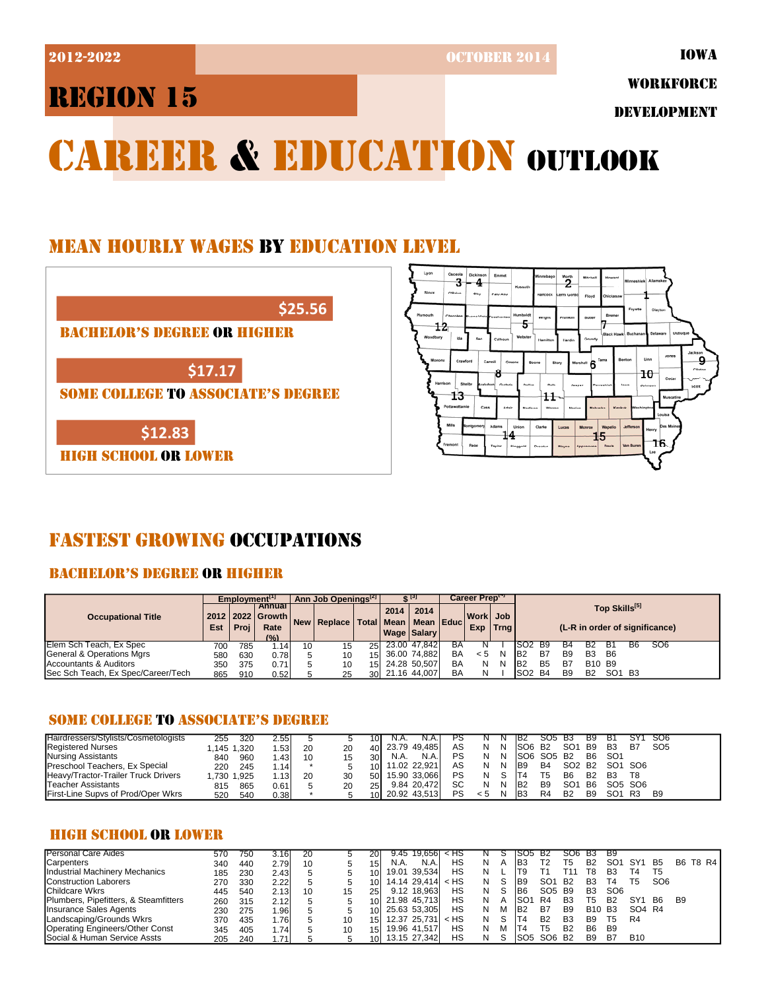2012-2022 OCTOBER 2014

# REGION 15

WORKFORCE

DEVELOPMENT

# CAREER & EDUCATION OUTLOOK

## MEAN HOURLY WAGES BY EDUCATION LEVEL



## FASTEST GROWING OCCUPATIONS

## BACHELOR'S DEGREE OR HIGHER

|                                    | Emplovment <sup>[1]</sup> |      |                                                      | Ann Job Openings <sup>[2]</sup> |                                            |     |      | ar [3]                     |           | Career Preptry                  |    |                 |                                                 |                |           |                                |    |                 |  |  |
|------------------------------------|---------------------------|------|------------------------------------------------------|---------------------------------|--------------------------------------------|-----|------|----------------------------|-----------|---------------------------------|----|-----------------|-------------------------------------------------|----------------|-----------|--------------------------------|----|-----------------|--|--|
| <b>Occupational Title</b>          | Est                       | Proi | <b>Annual I</b><br>2012 2022 Growth<br>Rate<br>(0/6) |                                 | New   Replace   Total   Mean   Mean   Educ |     | 2014 | 2014<br><b>Wage Salary</b> |           | Workl Job<br><b>Trng</b><br>Exp |    |                 | Top Skills[5]<br>(L-R in order of significance) |                |           |                                |    |                 |  |  |
| Elem Sch Teach, Ex Spec            | 700                       | 785  | ا14، ،                                               | 10                              | 15                                         | 25I |      | 23.00 47,842               | BA        |                                 |    | ISO2            | - B9                                            | В4             |           | В1                             | В6 | SO <sub>6</sub> |  |  |
| General & Operations Mgrs          | 580                       | 630  | 0.781                                                |                                 | 10                                         |     |      | 15 36.00 74,882            | <b>BA</b> | < 5                             | -N | IB <sub>2</sub> | B7                                              | B <sub>9</sub> | <b>B3</b> | <b>B6</b>                      |    |                 |  |  |
| Accountants & Auditors             | 350                       | 375  | 0.711                                                |                                 | 10                                         |     |      | 15 24.28 50,507            | BA        | N                               | N  | IB <sub>2</sub> | B <sub>5</sub>                                  | B7             |           | B <sub>10</sub> B <sub>9</sub> |    |                 |  |  |
| Sec Sch Teach, Ex Spec/Career/Tech | 865                       | 910  | 0.52                                                 |                                 |                                            |     |      | 30 21.16 44,007            | BA        | Ν                               |    | SO <sub>2</sub> | B4                                              | B <sub>9</sub> | <b>B2</b> | SO <sub>1</sub> B <sub>3</sub> |    |                 |  |  |

### SOME COLLEGE TO ASSOCIATE'S DEGREE

| Hairdressers/Stylists/Cosmetologists | 255        | 320<br>2.55. |    |    |      | N.A             |    |     |   | TB2                | SO5            | - B3            | B9             |                                 | SY <sup>1</sup> | SO6             |
|--------------------------------------|------------|--------------|----|----|------|-----------------|----|-----|---|--------------------|----------------|-----------------|----------------|---------------------------------|-----------------|-----------------|
| <b>Registered Nurses</b>             | .145 1.320 | .53          | 20 | 40 |      | 23.79 49.485    | AS |     | N | ISO6               | <b>B2</b>      | SO <sub>1</sub> | B <sub>9</sub> | B <sub>3</sub>                  | B7              | SO <sub>5</sub> |
| <b>Nursing Assistants</b>            | 840        | 960<br>ا43.، |    | 30 | N.A. | N.A.            | PS |     | N | <b>ISO6 SO5 B2</b> |                |                 | B <sub>6</sub> | SO <sub>1</sub>                 |                 |                 |
| Preschool Teachers, Ex Special       | 220        | 245<br>.14   |    |    |      | 10 11.02 22,921 | AS |     | N | IB <sub>9</sub>    | B <sub>4</sub> | SO <sub>2</sub> | <b>B2</b>      | SO1 SO6                         |                 |                 |
| Heavy/Tractor-Trailer Truck Drivers  | .730 1.925 | 1.13         | 20 | 50 |      | 15.90 33.066    | PS |     |   |                    | Т5             | B <sub>6</sub>  | B <sub>2</sub> | B <sub>3</sub>                  | T8              |                 |
| Teacher Assistants                   | 815        | 865<br>0.61  |    | 25 |      | 9.84 20.472     | SC |     | N | IB <sub>2</sub>    | B <sub>9</sub> | SO <sub>1</sub> | <b>B6</b>      | SO <sub>5</sub> SO <sub>6</sub> |                 |                 |
| First-Line Supvs of Prod/Oper Wkrs   | 520        | 540<br>0.38  |    |    |      | 10 20.92 43,513 | PS | < 5 | N | IB3                | R4             | B <sub>2</sub>  | B <sub>9</sub> | SO <sub>1</sub>                 | R3              | B <sub>9</sub>  |

## HIGH SCHOOL OR LOWER

| <b>Personal Care Aides</b>              | 570 | 750 | 3.16  | 20 |    | <b>20</b>       |      | $9.45$ 19.656 < HS     |    |   | ১              | - SO5            | -62                            | SO6            | <b>B3</b>      | Β9              |                 |                 |                |          |
|-----------------------------------------|-----|-----|-------|----|----|-----------------|------|------------------------|----|---|----------------|------------------|--------------------------------|----------------|----------------|-----------------|-----------------|-----------------|----------------|----------|
| Carpenters                              | 340 | 440 | 2.79  | 10 |    | 15 <sub>l</sub> | N.A. | N.A.                   | НS | N | $\overline{a}$ | IB3              | Т2                             | T5             | B <sub>2</sub> | SO <sub>1</sub> | SY1             | <b>B5</b>       |                | B6 T8 R4 |
| Industrial Machinery Mechanics          | 185 | 230 | 2.43  |    |    | 10I             |      | 19.01 39.534           | HS | N |                | 'T9              |                                |                | Г8             | B3              | Г4              | T5              |                |          |
| <b>Construction Laborers</b>            | 270 | 330 | 2.22  |    |    | 10I             |      | 14.14 29.414 $\leq$ HS |    | N | -S             | IB <sub>9</sub>  | SO <sub>1</sub>                | - B2           | B <sub>3</sub> | Г4              | Т5              | SO <sub>6</sub> |                |          |
| <b>Childcare Wkrs</b>                   | 445 | 540 | 2.13  | 10 | 15 | 25I             |      | 9.12 18.963            | НS | N | S.             | IB6              | SO <sub>5</sub> B <sub>9</sub> |                | B <sub>3</sub> | SO <sub>6</sub> |                 |                 |                |          |
| Plumbers, Pipefitters, & Steamfitters   | 260 | 315 | 2.12  |    |    |                 |      | 10 21.98 45,713        | НS | N |                | ISO <sub>1</sub> | R4                             | B <sub>3</sub> | Г5             | <b>B2</b>       | SY <sub>1</sub> | <b>B6</b>       | B <sub>9</sub> |          |
| <b>Insurance Sales Agents</b>           | 230 | 275 | .96   |    |    |                 |      | 10 25.63 53,305        | HS | N | м              | IB <sub>2</sub>  | B7                             | B <sub>9</sub> | <b>B10</b>     | <b>B3</b>       | SO4 R4          |                 |                |          |
| Landscaping/Grounds Wkrs                | 370 | 435 | 1.76  |    | 10 | 15 <sup>1</sup> |      | 12.37 25.731 l < HS    |    | Ν | S              | T4               | B <sub>2</sub>                 | B <sub>3</sub> | <b>B</b> 9     | Г5              | R4              |                 |                |          |
| Operating Engineers/Other Const         | 345 | 405 | . 741 |    | 10 | 15 <sup>1</sup> |      | 19.96 41.517           | НS | N | М              | T4               | Т5                             | <b>B2</b>      | <b>B6</b>      | <b>B</b> 9      |                 |                 |                |          |
| <b>Social &amp; Human Service Assts</b> | 205 | 240 | .71   |    |    |                 |      | 10 13.15 27,342        | HS |   |                | ISO5             | SO6 B2                         |                | <b>B</b> 9     | B7              | <b>B10</b>      |                 |                |          |